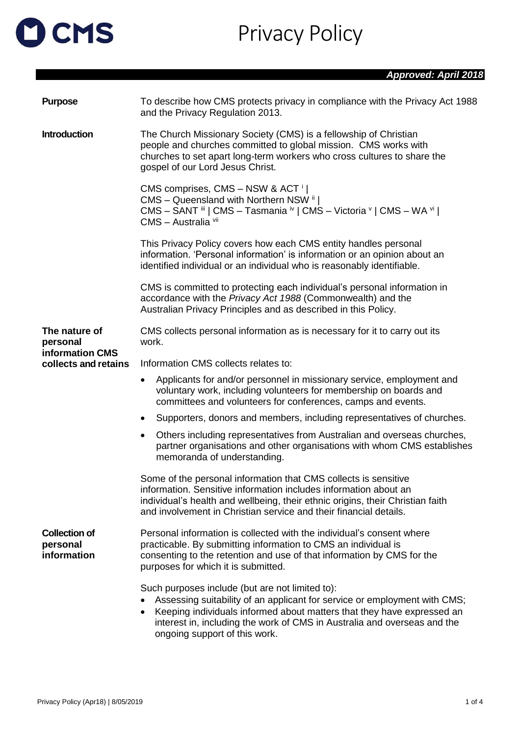## OCMS

Privacy Policy

| <b>Purpose</b>                                  | To describe how CMS protects privacy in compliance with the Privacy Act 1988<br>and the Privacy Regulation 2013.                                                                                                                                                                                                         |  |
|-------------------------------------------------|--------------------------------------------------------------------------------------------------------------------------------------------------------------------------------------------------------------------------------------------------------------------------------------------------------------------------|--|
| <b>Introduction</b>                             | The Church Missionary Society (CMS) is a fellowship of Christian<br>people and churches committed to global mission. CMS works with<br>churches to set apart long-term workers who cross cultures to share the<br>gospel of our Lord Jesus Christ.                                                                       |  |
|                                                 | CMS comprises, CMS - NSW & ACT <sup>i</sup><br>CMS - Queensland with Northern NSW ii  <br>CMS - SANT iii   CMS - Tasmania iv   CMS - Victoria v   CMS - WA vi  <br>CMS - Australia vii                                                                                                                                   |  |
|                                                 | This Privacy Policy covers how each CMS entity handles personal<br>information. 'Personal information' is information or an opinion about an<br>identified individual or an individual who is reasonably identifiable.                                                                                                   |  |
|                                                 | CMS is committed to protecting each individual's personal information in<br>accordance with the Privacy Act 1988 (Commonwealth) and the<br>Australian Privacy Principles and as described in this Policy.                                                                                                                |  |
| The nature of<br>personal                       | CMS collects personal information as is necessary for it to carry out its<br>work.                                                                                                                                                                                                                                       |  |
| information CMS<br>collects and retains         | Information CMS collects relates to:                                                                                                                                                                                                                                                                                     |  |
|                                                 | Applicants for and/or personnel in missionary service, employment and<br>$\bullet$<br>voluntary work, including volunteers for membership on boards and<br>committees and volunteers for conferences, camps and events.                                                                                                  |  |
|                                                 | Supporters, donors and members, including representatives of churches.<br>$\bullet$                                                                                                                                                                                                                                      |  |
|                                                 | Others including representatives from Australian and overseas churches,<br>$\bullet$<br>partner organisations and other organisations with whom CMS establishes<br>memoranda of understanding.                                                                                                                           |  |
|                                                 | Some of the personal information that CMS collects is sensitive<br>information. Sensitive information includes information about an<br>individual's health and wellbeing, their ethnic origins, their Christian faith<br>and involvement in Christian service and their financial details.                               |  |
| <b>Collection of</b><br>personal<br>information | Personal information is collected with the individual's consent where<br>practicable. By submitting information to CMS an individual is<br>consenting to the retention and use of that information by CMS for the<br>purposes for which it is submitted.                                                                 |  |
|                                                 | Such purposes include (but are not limited to):<br>Assessing suitability of an applicant for service or employment with CMS;<br>Keeping individuals informed about matters that they have expressed an<br>٠<br>interest in, including the work of CMS in Australia and overseas and the<br>ongoing support of this work. |  |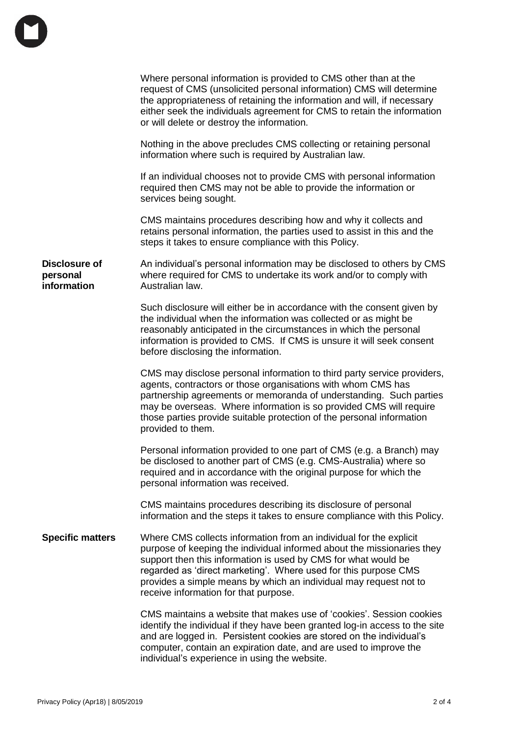|                                          | Where personal information is provided to CMS other than at the<br>request of CMS (unsolicited personal information) CMS will determine<br>the appropriateness of retaining the information and will, if necessary<br>either seek the individuals agreement for CMS to retain the information<br>or will delete or destroy the information.                                                     |
|------------------------------------------|-------------------------------------------------------------------------------------------------------------------------------------------------------------------------------------------------------------------------------------------------------------------------------------------------------------------------------------------------------------------------------------------------|
|                                          | Nothing in the above precludes CMS collecting or retaining personal<br>information where such is required by Australian law.                                                                                                                                                                                                                                                                    |
|                                          | If an individual chooses not to provide CMS with personal information<br>required then CMS may not be able to provide the information or<br>services being sought.                                                                                                                                                                                                                              |
|                                          | CMS maintains procedures describing how and why it collects and<br>retains personal information, the parties used to assist in this and the<br>steps it takes to ensure compliance with this Policy.                                                                                                                                                                                            |
| Disclosure of<br>personal<br>information | An individual's personal information may be disclosed to others by CMS<br>where required for CMS to undertake its work and/or to comply with<br>Australian law.                                                                                                                                                                                                                                 |
|                                          | Such disclosure will either be in accordance with the consent given by<br>the individual when the information was collected or as might be<br>reasonably anticipated in the circumstances in which the personal<br>information is provided to CMS. If CMS is unsure it will seek consent<br>before disclosing the information.                                                                  |
|                                          | CMS may disclose personal information to third party service providers,<br>agents, contractors or those organisations with whom CMS has<br>partnership agreements or memoranda of understanding. Such parties<br>may be overseas. Where information is so provided CMS will require<br>those parties provide suitable protection of the personal information<br>provided to them.               |
|                                          | Personal information provided to one part of CMS (e.g. a Branch) may<br>be disclosed to another part of CMS (e.g. CMS-Australia) where so<br>required and in accordance with the original purpose for which the<br>personal information was received.                                                                                                                                           |
|                                          | CMS maintains procedures describing its disclosure of personal<br>information and the steps it takes to ensure compliance with this Policy.                                                                                                                                                                                                                                                     |
| <b>Specific matters</b>                  | Where CMS collects information from an individual for the explicit<br>purpose of keeping the individual informed about the missionaries they<br>support then this information is used by CMS for what would be<br>regarded as 'direct marketing'. Where used for this purpose CMS<br>provides a simple means by which an individual may request not to<br>receive information for that purpose. |
|                                          | CMS maintains a website that makes use of 'cookies'. Session cookies<br>identify the individual if they have been granted log-in access to the site<br>and are logged in. Persistent cookies are stored on the individual's<br>computer, contain an expiration date, and are used to improve the<br>individual's experience in using the website.                                               |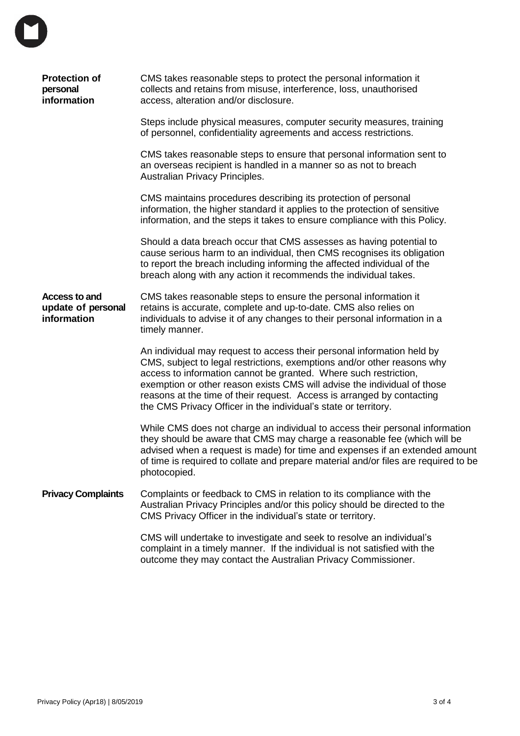| <b>Protection of</b><br>personal<br>information           | CMS takes reasonable steps to protect the personal information it<br>collects and retains from misuse, interference, loss, unauthorised<br>access, alteration and/or disclosure.                                                                                                                                                                                                                                                               |
|-----------------------------------------------------------|------------------------------------------------------------------------------------------------------------------------------------------------------------------------------------------------------------------------------------------------------------------------------------------------------------------------------------------------------------------------------------------------------------------------------------------------|
|                                                           | Steps include physical measures, computer security measures, training<br>of personnel, confidentiality agreements and access restrictions.                                                                                                                                                                                                                                                                                                     |
|                                                           | CMS takes reasonable steps to ensure that personal information sent to<br>an overseas recipient is handled in a manner so as not to breach<br>Australian Privacy Principles.                                                                                                                                                                                                                                                                   |
|                                                           | CMS maintains procedures describing its protection of personal<br>information, the higher standard it applies to the protection of sensitive<br>information, and the steps it takes to ensure compliance with this Policy.                                                                                                                                                                                                                     |
|                                                           | Should a data breach occur that CMS assesses as having potential to<br>cause serious harm to an individual, then CMS recognises its obligation<br>to report the breach including informing the affected individual of the<br>breach along with any action it recommends the individual takes.                                                                                                                                                  |
| <b>Access to and</b><br>update of personal<br>information | CMS takes reasonable steps to ensure the personal information it<br>retains is accurate, complete and up-to-date. CMS also relies on<br>individuals to advise it of any changes to their personal information in a<br>timely manner.                                                                                                                                                                                                           |
|                                                           | An individual may request to access their personal information held by<br>CMS, subject to legal restrictions, exemptions and/or other reasons why<br>access to information cannot be granted. Where such restriction,<br>exemption or other reason exists CMS will advise the individual of those<br>reasons at the time of their request. Access is arranged by contacting<br>the CMS Privacy Officer in the individual's state or territory. |
|                                                           | While CMS does not charge an individual to access their personal information<br>they should be aware that CMS may charge a reasonable fee (which will be<br>advised when a request is made) for time and expenses if an extended amount<br>of time is required to collate and prepare material and/or files are required to be<br>photocopied.                                                                                                 |
| <b>Privacy Complaints</b>                                 | Complaints or feedback to CMS in relation to its compliance with the<br>Australian Privacy Principles and/or this policy should be directed to the<br>CMS Privacy Officer in the individual's state or territory.                                                                                                                                                                                                                              |
|                                                           | CMS will undertake to investigate and seek to resolve an individual's<br>complaint in a timely manner. If the individual is not satisfied with the<br>outcome they may contact the Australian Privacy Commissioner.                                                                                                                                                                                                                            |